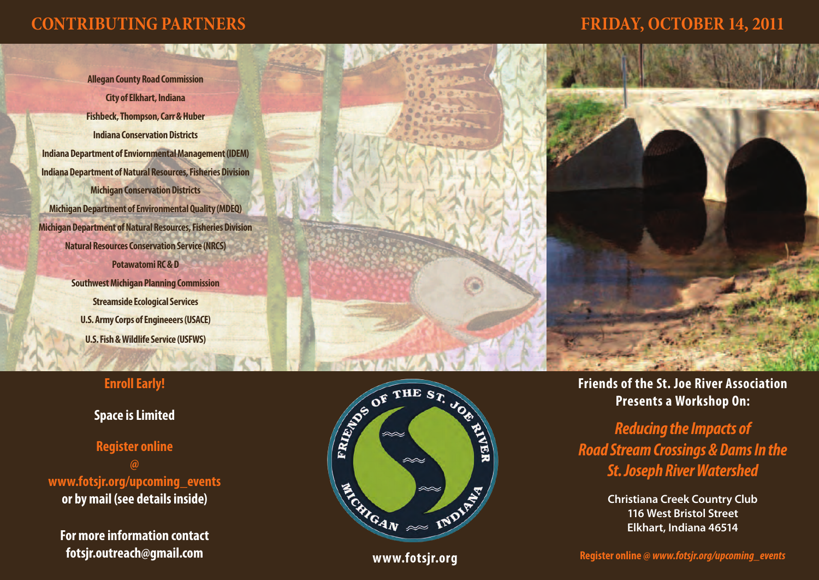# **CONTRIBUTING PARTNERS FRIDAY, OCTOBER 14, 2011**

**Allegan County Road Commission City of Elkhart, Indiana Fishbeck, Thompson, Carr & Huber Indiana Conservation Districts Indiana Department of Enviornmental Management (IDEM) Indiana Department of Natural Resources, Fisheries Division Michigan Conservation Districts Michigan Department of Environmental Quality (MDEQ) Michigan Department of Natural Resources, Fisheries Division Natural Resources Conservation Service (NRCS) Potawatomi RC & D Southwest Michigan Planning Commission Streamside Ecological Services U.S. Army Corps of Engineeers (USACE) U.S. Fish & Wildlife Service (USFWS)**

## **Enroll Early!**

## **Space is Limited**

**Register online @ www.fotsjr.org/upcoming\_events or by mail (see details inside)**

**For more information contact fotsjr.outreach@gmail.com**





**www.fotsjr.org**

**Friends of the St. Joe River Association Presents a Workshop On:**

*Reducing the Impacts of Road Stream Crossings & Dams In the St. Joseph River Watershed*

> **Christiana Creek Country Club 116 West Bristol Street Elkhart, Indiana 46514**

**Register online @** *www.fotsjr.org/upcoming\_events*